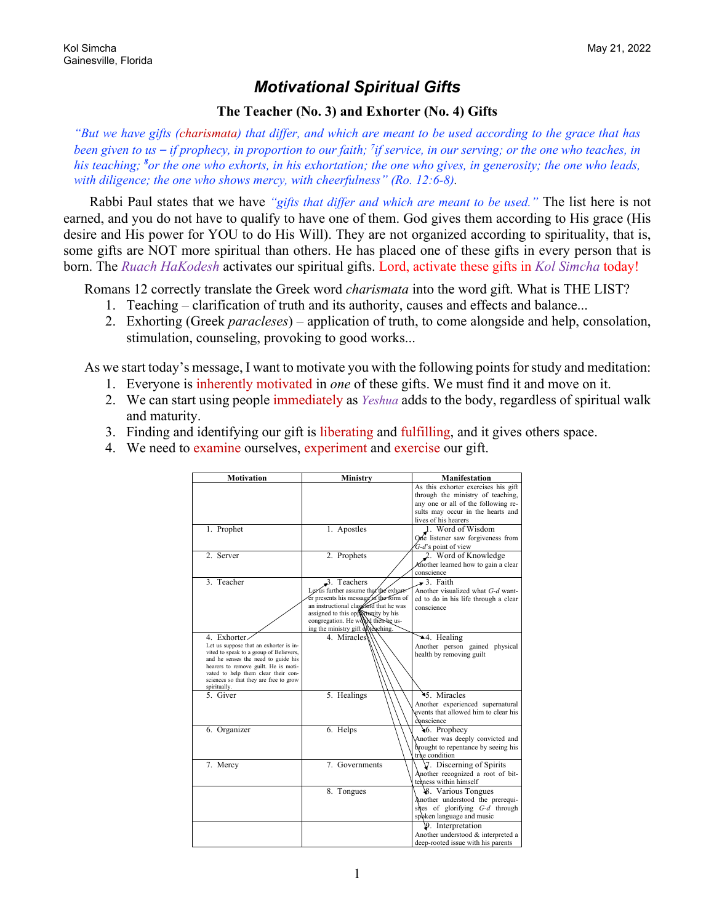## *Motivational Spiritual Gifts*

## **The Teacher (No. 3) and Exhorter (No. 4) Gifts**

*"But we have gifts (charismata) that differ, and which are meant to be used according to the grace that has been given to us – if prophecy, in proportion to our faith; <sup>7</sup> if service, in our serving; or the one who teaches, in his teaching; <sup>8</sup> or the one who exhorts, in his exhortation; the one who gives, in generosity; the one who leads, with diligence; the one who shows mercy, with cheerfulness" (Ro. 12:6-8).*

Rabbi Paul states that we have *"gifts that differ and which are meant to be used."* The list here is not earned, and you do not have to qualify to have one of them. God gives them according to His grace (His desire and His power for YOU to do His Will). They are not organized according to spirituality, that is, some gifts are NOT more spiritual than others. He has placed one of these gifts in every person that is born. The *Ruach HaKodesh* activates our spiritual gifts. Lord, activate these gifts in *Kol Simcha* today!

Romans 12 correctly translate the Greek word *charismata* into the word gift. What is THE LIST?

- 1. Teaching clarification of truth and its authority, causes and effects and balance...
- 2. Exhorting (Greek *paracleses*) application of truth, to come alongside and help, consolation, stimulation, counseling, provoking to good works...

As we start today's message, I want to motivate you with the following points for study and meditation:

- 1. Everyone is inherently motivated in *one* of these gifts. We must find it and move on it.
- 2. We can start using people immediately as *Yeshua* adds to the body, regardless of spiritual walk and maturity.
- 3. Finding and identifying our gift is liberating and fulfilling, and it gives others space.
- 4. We need to examine ourselves, experiment and exercise our gift.

| <b>Motivation</b>                                                              | <b>Ministry</b>                                                                  | <b>Manifestation</b>                                                                                                                                               |
|--------------------------------------------------------------------------------|----------------------------------------------------------------------------------|--------------------------------------------------------------------------------------------------------------------------------------------------------------------|
|                                                                                |                                                                                  | As this exhorter exercises his gift                                                                                                                                |
|                                                                                |                                                                                  | through the ministry of teaching,                                                                                                                                  |
|                                                                                |                                                                                  | any one or all of the following re-                                                                                                                                |
|                                                                                |                                                                                  | sults may occur in the hearts and                                                                                                                                  |
|                                                                                |                                                                                  | lives of his hearers                                                                                                                                               |
| 1. Prophet                                                                     | 1. Apostles                                                                      | 1. Word of Wisdom                                                                                                                                                  |
|                                                                                |                                                                                  | One listener saw forgiveness from                                                                                                                                  |
|                                                                                |                                                                                  | $G-d$ 's point of view                                                                                                                                             |
| 2. Server                                                                      | 2. Prophets                                                                      | 2. Word of Knowledge                                                                                                                                               |
|                                                                                |                                                                                  | Another learned how to gain a clear                                                                                                                                |
|                                                                                |                                                                                  | conscience                                                                                                                                                         |
| 3. Teacher                                                                     | 3. Teachers                                                                      | $\rightarrow$ 3. Faith                                                                                                                                             |
|                                                                                | Let'us further assume that the exhort-<br>er presents his message in the form of | Another visualized what G-d want-                                                                                                                                  |
|                                                                                | an instructional class and that he was                                           | ed to do in his life through a clear                                                                                                                               |
|                                                                                | assigned to this opportunity by his                                              | conscience                                                                                                                                                         |
|                                                                                | congregation. He would then be us-                                               |                                                                                                                                                                    |
|                                                                                | ing the ministry gift of reaching.                                               |                                                                                                                                                                    |
| 4. Exhorter                                                                    | 4. Miracles                                                                      | →4. Healing                                                                                                                                                        |
| Let us suppose that an exhorter is in-                                         |                                                                                  | Another person gained physical                                                                                                                                     |
| vited to speak to a group of Believers,<br>and he senses the need to guide his |                                                                                  | health by removing guilt                                                                                                                                           |
| hearers to remove guilt. He is moti-                                           |                                                                                  |                                                                                                                                                                    |
| vated to help them clear their con-                                            |                                                                                  |                                                                                                                                                                    |
| sciences so that they are free to grow                                         |                                                                                  |                                                                                                                                                                    |
| spiritually.<br>5. Giver                                                       | 5. Healings                                                                      | 45. Miracles                                                                                                                                                       |
|                                                                                |                                                                                  | Another experienced supernatural                                                                                                                                   |
|                                                                                |                                                                                  | events that allowed him to clear his                                                                                                                               |
|                                                                                |                                                                                  | conscience                                                                                                                                                         |
| 6. Organizer                                                                   | 6. Helps                                                                         | 46. Prophecy                                                                                                                                                       |
|                                                                                |                                                                                  | Another was deeply convicted and                                                                                                                                   |
|                                                                                |                                                                                  | brought to repentance by seeing his                                                                                                                                |
|                                                                                |                                                                                  |                                                                                                                                                                    |
|                                                                                | 7. Governments                                                                   |                                                                                                                                                                    |
|                                                                                |                                                                                  |                                                                                                                                                                    |
|                                                                                |                                                                                  |                                                                                                                                                                    |
|                                                                                |                                                                                  |                                                                                                                                                                    |
|                                                                                |                                                                                  |                                                                                                                                                                    |
|                                                                                |                                                                                  | sites of glorifying G-d through                                                                                                                                    |
|                                                                                |                                                                                  | spoken language and music                                                                                                                                          |
|                                                                                |                                                                                  | 9. Interpretation                                                                                                                                                  |
|                                                                                |                                                                                  | Another understood & interpreted a                                                                                                                                 |
|                                                                                |                                                                                  | deep-rooted issue with his parents                                                                                                                                 |
| 7. Mercy                                                                       | 8. Tongues                                                                       | true condition<br>7. Discerning of Spirits<br>Another recognized a root of bit-<br>temess within himself<br>8. Various Tongues<br>Another understood the prerequi- |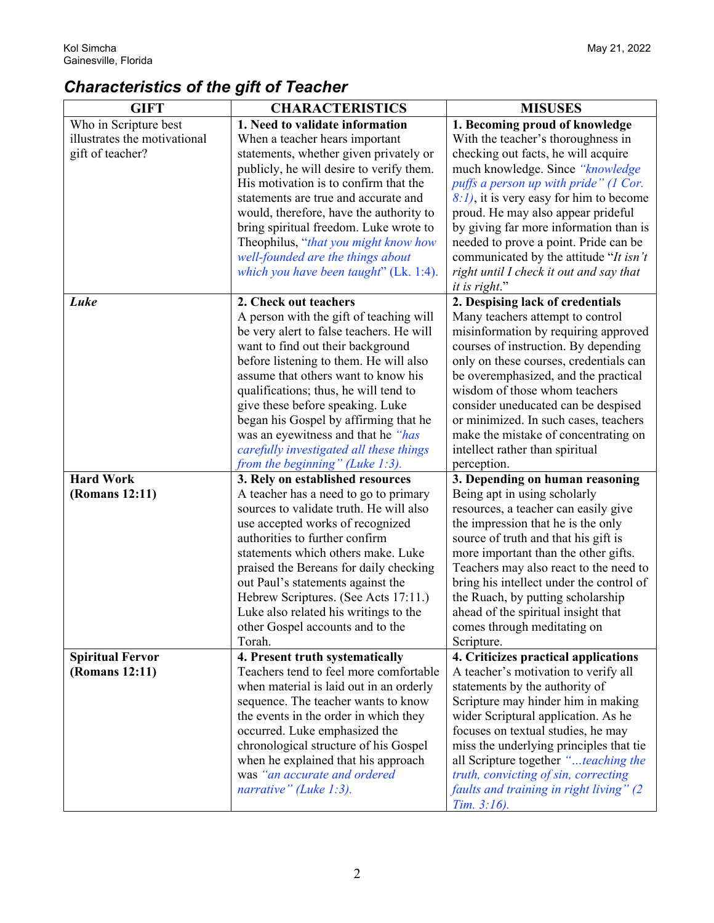## *Characteristics of the gift of Teacher*

| <b>GIFT</b>                               | <b>CHARACTERISTICS</b>                                                    | <b>MISUSES</b>                                                               |
|-------------------------------------------|---------------------------------------------------------------------------|------------------------------------------------------------------------------|
| Who in Scripture best                     | 1. Need to validate information                                           | 1. Becoming proud of knowledge                                               |
| illustrates the motivational              | When a teacher hears important                                            | With the teacher's thoroughness in                                           |
| gift of teacher?                          | statements, whether given privately or                                    | checking out facts, he will acquire                                          |
|                                           | publicly, he will desire to verify them.                                  | much knowledge. Since "knowledge                                             |
|                                           | His motivation is to confirm that the                                     | puffs a person up with pride" (1 Cor.                                        |
|                                           | statements are true and accurate and                                      | $8:1$ , it is very easy for him to become                                    |
|                                           | would, therefore, have the authority to                                   | proud. He may also appear prideful                                           |
|                                           | bring spiritual freedom. Luke wrote to                                    | by giving far more information than is                                       |
|                                           | Theophilus, "that you might know how                                      | needed to prove a point. Pride can be                                        |
|                                           | well-founded are the things about                                         | communicated by the attitude "It isn't                                       |
|                                           | which you have been taught" (Lk. 1:4).                                    | right until I check it out and say that                                      |
|                                           |                                                                           | it is right."                                                                |
| Luke                                      | 2. Check out teachers                                                     | 2. Despising lack of credentials                                             |
|                                           | A person with the gift of teaching will                                   | Many teachers attempt to control                                             |
|                                           | be very alert to false teachers. He will                                  | misinformation by requiring approved                                         |
|                                           | want to find out their background                                         | courses of instruction. By depending                                         |
|                                           | before listening to them. He will also                                    | only on these courses, credentials can                                       |
|                                           | assume that others want to know his                                       | be overemphasized, and the practical                                         |
|                                           | qualifications; thus, he will tend to                                     | wisdom of those whom teachers                                                |
|                                           | give these before speaking. Luke                                          | consider uneducated can be despised                                          |
|                                           | began his Gospel by affirming that he                                     | or minimized. In such cases, teachers                                        |
|                                           | was an eyewitness and that he "has                                        | make the mistake of concentrating on                                         |
|                                           | carefully investigated all these things                                   | intellect rather than spiritual                                              |
|                                           | from the beginning" (Luke $1:3$ ).                                        | perception.                                                                  |
| <b>Hard Work</b>                          | 3. Rely on established resources                                          | 3. Depending on human reasoning                                              |
| (Romans 12:11)                            | A teacher has a need to go to primary                                     | Being apt in using scholarly                                                 |
|                                           | sources to validate truth. He will also                                   | resources, a teacher can easily give                                         |
|                                           | use accepted works of recognized                                          | the impression that he is the only                                           |
|                                           | authorities to further confirm                                            | source of truth and that his gift is                                         |
|                                           | statements which others make. Luke                                        | more important than the other gifts.                                         |
|                                           | praised the Bereans for daily checking                                    | Teachers may also react to the need to                                       |
|                                           | out Paul's statements against the                                         | bring his intellect under the control of                                     |
|                                           | Hebrew Scriptures. (See Acts 17:11.)                                      | the Ruach, by putting scholarship                                            |
|                                           | Luke also related his writings to the                                     | ahead of the spiritual insight that                                          |
|                                           | other Gospel accounts and to the<br>Torah.                                | comes through meditating on                                                  |
|                                           |                                                                           | Scripture.                                                                   |
| <b>Spiritual Fervor</b><br>(Romans 12:11) | 4. Present truth systematically<br>Teachers tend to feel more comfortable | 4. Criticizes practical applications<br>A teacher's motivation to verify all |
|                                           | when material is laid out in an orderly                                   | statements by the authority of                                               |
|                                           | sequence. The teacher wants to know                                       | Scripture may hinder him in making                                           |
|                                           | the events in the order in which they                                     | wider Scriptural application. As he                                          |
|                                           | occurred. Luke emphasized the                                             | focuses on textual studies, he may                                           |
|                                           | chronological structure of his Gospel                                     | miss the underlying principles that tie                                      |
|                                           | when he explained that his approach                                       | all Scripture together "teaching the                                         |
|                                           | was "an accurate and ordered                                              | truth, convicting of sin, correcting                                         |
|                                           | narrative" (Luke 1:3).                                                    | faults and training in right living" (2                                      |
|                                           |                                                                           | Tim. 3:16.                                                                   |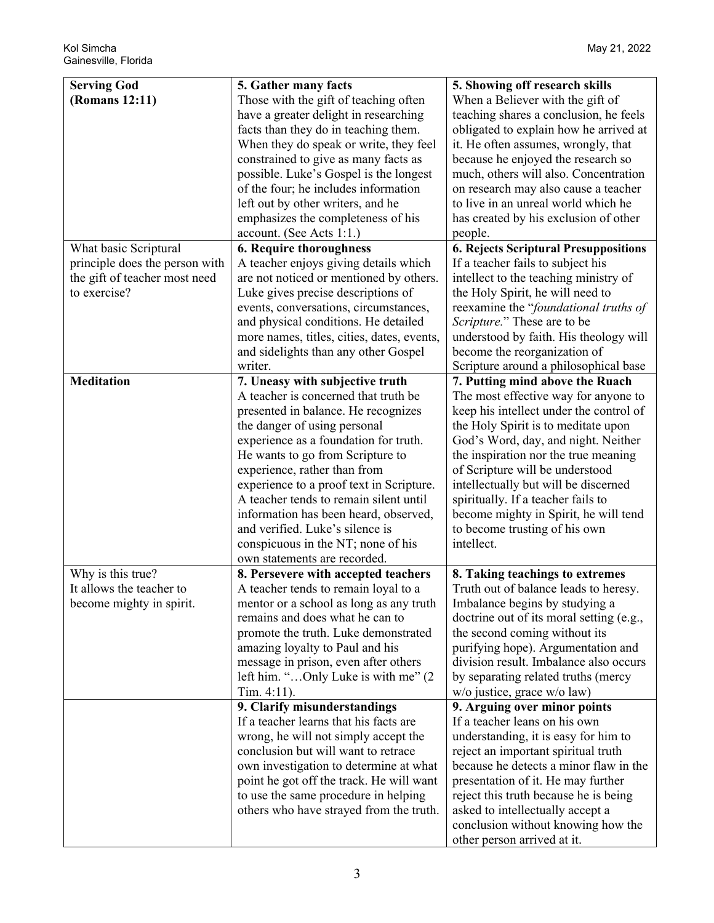| <b>Serving God</b>             | 5. Gather many facts                       | 5. Showing off research skills               |
|--------------------------------|--------------------------------------------|----------------------------------------------|
| (Romans 12:11)                 | Those with the gift of teaching often      | When a Believer with the gift of             |
|                                | have a greater delight in researching      | teaching shares a conclusion, he feels       |
|                                | facts than they do in teaching them.       | obligated to explain how he arrived at       |
|                                | When they do speak or write, they feel     | it. He often assumes, wrongly, that          |
|                                | constrained to give as many facts as       | because he enjoyed the research so           |
|                                | possible. Luke's Gospel is the longest     | much, others will also. Concentration        |
|                                | of the four; he includes information       | on research may also cause a teacher         |
|                                | left out by other writers, and he          | to live in an unreal world which he          |
|                                | emphasizes the completeness of his         | has created by his exclusion of other        |
|                                | account. (See Acts 1:1.)                   | people.                                      |
| What basic Scriptural          | <b>6. Require thoroughness</b>             | <b>6. Rejects Scriptural Presuppositions</b> |
| principle does the person with | A teacher enjoys giving details which      | If a teacher fails to subject his            |
| the gift of teacher most need  | are not noticed or mentioned by others.    | intellect to the teaching ministry of        |
| to exercise?                   | Luke gives precise descriptions of         | the Holy Spirit, he will need to             |
|                                | events, conversations, circumstances,      | reexamine the "foundational truths of        |
|                                | and physical conditions. He detailed       | Scripture." These are to be                  |
|                                | more names, titles, cities, dates, events, | understood by faith. His theology will       |
|                                | and sidelights than any other Gospel       | become the reorganization of                 |
|                                | writer.                                    | Scripture around a philosophical base        |
| <b>Meditation</b>              | 7. Uneasy with subjective truth            | 7. Putting mind above the Ruach              |
|                                | A teacher is concerned that truth be       | The most effective way for anyone to         |
|                                | presented in balance. He recognizes        | keep his intellect under the control of      |
|                                | the danger of using personal               | the Holy Spirit is to meditate upon          |
|                                | experience as a foundation for truth.      | God's Word, day, and night. Neither          |
|                                | He wants to go from Scripture to           | the inspiration nor the true meaning         |
|                                | experience, rather than from               | of Scripture will be understood              |
|                                | experience to a proof text in Scripture.   | intellectually but will be discerned         |
|                                | A teacher tends to remain silent until     | spiritually. If a teacher fails to           |
|                                | information has been heard, observed,      | become mighty in Spirit, he will tend        |
|                                | and verified. Luke's silence is            | to become trusting of his own                |
|                                | conspicuous in the NT; none of his         | intellect.                                   |
|                                | own statements are recorded.               |                                              |
| Why is this true?              | 8. Persevere with accepted teachers        | 8. Taking teachings to extremes              |
| It allows the teacher to       | A teacher tends to remain loyal to a       | Truth out of balance leads to heresy.        |
| become mighty in spirit.       | mentor or a school as long as any truth    | Imbalance begins by studying a               |
|                                | remains and does what he can to            | doctrine out of its moral setting (e.g.,     |
|                                | promote the truth. Luke demonstrated       | the second coming without its                |
|                                | amazing loyalty to Paul and his            | purifying hope). Argumentation and           |
|                                | message in prison, even after others       | division result. Imbalance also occurs       |
|                                | left him. "Only Luke is with me" (2        | by separating related truths (mercy          |
|                                | Tim. $4:11$ ).                             | w/o justice, grace w/o law)                  |
|                                | 9. Clarify misunderstandings               | 9. Arguing over minor points                 |
|                                | If a teacher learns that his facts are     | If a teacher leans on his own                |
|                                | wrong, he will not simply accept the       | understanding, it is easy for him to         |
|                                | conclusion but will want to retrace        | reject an important spiritual truth          |
|                                | own investigation to determine at what     | because he detects a minor flaw in the       |
|                                | point he got off the track. He will want   | presentation of it. He may further           |
|                                | to use the same procedure in helping       | reject this truth because he is being        |
|                                | others who have strayed from the truth.    | asked to intellectually accept a             |
|                                |                                            | conclusion without knowing how the           |
|                                |                                            | other person arrived at it.                  |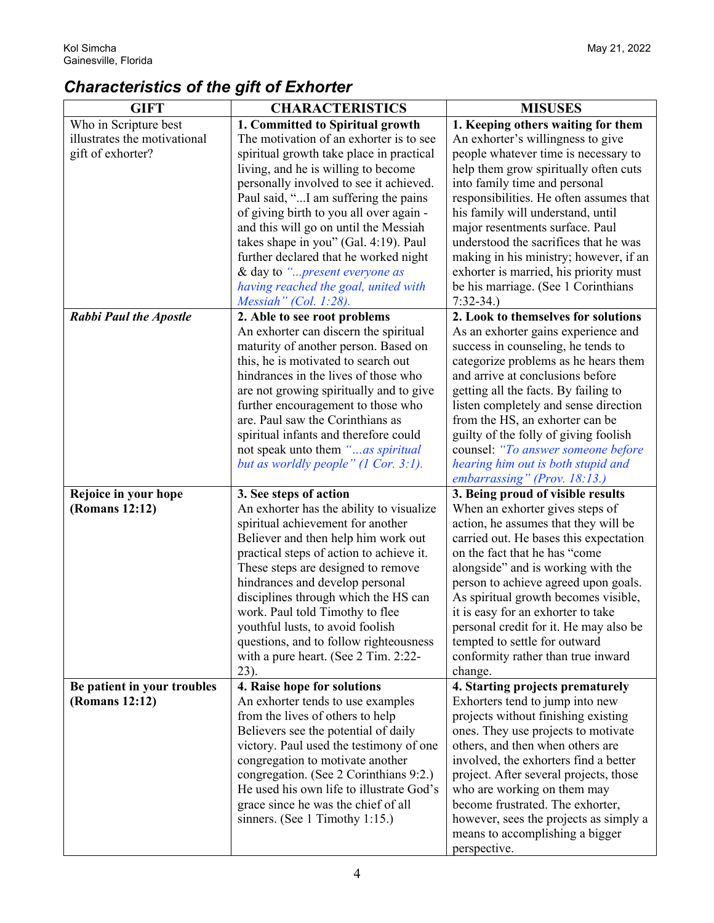## *Characteristics of the gift of Exhorter*

| <b>GIFT</b>                   | <b>CHARACTERISTICS</b>                                                          | <b>MISUSES</b>                                                                 |
|-------------------------------|---------------------------------------------------------------------------------|--------------------------------------------------------------------------------|
| Who in Scripture best         | 1. Committed to Spiritual growth                                                | 1. Keeping others waiting for them                                             |
| illustrates the motivational  | The motivation of an exhorter is to see                                         | An exhorter's willingness to give                                              |
| gift of exhorter?             | spiritual growth take place in practical                                        | people whatever time is necessary to                                           |
|                               | living, and he is willing to become                                             | help them grow spiritually often cuts                                          |
|                               | personally involved to see it achieved.                                         | into family time and personal                                                  |
|                               | Paul said, "I am suffering the pains                                            | responsibilities. He often assumes that                                        |
|                               | of giving birth to you all over again -                                         | his family will understand, until                                              |
|                               | and this will go on until the Messiah                                           | major resentments surface. Paul                                                |
|                               | takes shape in you" (Gal. 4:19). Paul                                           | understood the sacrifices that he was                                          |
|                               | further declared that he worked night                                           | making in his ministry; however, if an                                         |
|                               | & day to "present everyone as                                                   | exhorter is married, his priority must                                         |
|                               | having reached the goal, united with                                            | be his marriage. (See 1 Corinthians                                            |
|                               | Messiah" (Col. 1:28).                                                           | $7:32-34.$                                                                     |
| <b>Rabbi Paul the Apostle</b> | 2. Able to see root problems                                                    | 2. Look to themselves for solutions                                            |
|                               | An exhorter can discern the spiritual                                           | As an exhorter gains experience and                                            |
|                               | maturity of another person. Based on                                            | success in counseling, he tends to                                             |
|                               | this, he is motivated to search out                                             | categorize problems as he hears them                                           |
|                               | hindrances in the lives of those who                                            | and arrive at conclusions before                                               |
|                               | are not growing spiritually and to give                                         | getting all the facts. By failing to                                           |
|                               | further encouragement to those who                                              | listen completely and sense direction                                          |
|                               | are. Paul saw the Corinthians as                                                | from the HS, an exhorter can be                                                |
|                               | spiritual infants and therefore could                                           | guilty of the folly of giving foolish                                          |
|                               | not speak unto them "as spiritual                                               | counsel: "To answer someone before                                             |
|                               | but as worldly people" (1 Cor. 3:1).                                            | hearing him out is both stupid and                                             |
|                               |                                                                                 | embarrassing" (Prov. 18:13.)                                                   |
| Rejoice in your hope          | 3. See steps of action                                                          | 3. Being proud of visible results                                              |
| (Romans 12:12)                | An exhorter has the ability to visualize                                        | When an exhorter gives steps of                                                |
|                               | spiritual achievement for another                                               | action, he assumes that they will be<br>carried out. He bases this expectation |
|                               | Believer and then help him work out<br>practical steps of action to achieve it. | on the fact that he has "come                                                  |
|                               | These steps are designed to remove                                              | alongside" and is working with the                                             |
|                               | hindrances and develop personal                                                 | person to achieve agreed upon goals.                                           |
|                               | disciplines through which the HS can                                            | As spiritual growth becomes visible,                                           |
|                               | work. Paul told Timothy to flee                                                 | it is easy for an exhorter to take                                             |
|                               | youthful lusts, to avoid foolish                                                | personal credit for it. He may also be                                         |
|                               | questions, and to follow righteousness                                          | tempted to settle for outward                                                  |
|                               | with a pure heart. (See 2 Tim. 2:22-                                            | conformity rather than true inward                                             |
|                               | 23).                                                                            | change.                                                                        |
| Be patient in your troubles   | 4. Raise hope for solutions                                                     | 4. Starting projects prematurely                                               |
| (Romans 12:12)                | An exhorter tends to use examples                                               | Exhorters tend to jump into new                                                |
|                               | from the lives of others to help                                                | projects without finishing existing                                            |
|                               | Believers see the potential of daily                                            | ones. They use projects to motivate                                            |
|                               | victory. Paul used the testimony of one                                         | others, and then when others are                                               |
|                               | congregation to motivate another                                                | involved, the exhorters find a better                                          |
|                               | congregation. (See 2 Corinthians 9:2.)                                          | project. After several projects, those                                         |
|                               | He used his own life to illustrate God's                                        | who are working on them may                                                    |
|                               | grace since he was the chief of all                                             | become frustrated. The exhorter,                                               |
|                               | sinners. (See 1 Timothy 1:15.)                                                  | however, sees the projects as simply a                                         |
|                               |                                                                                 | means to accomplishing a bigger                                                |
|                               |                                                                                 | perspective.                                                                   |